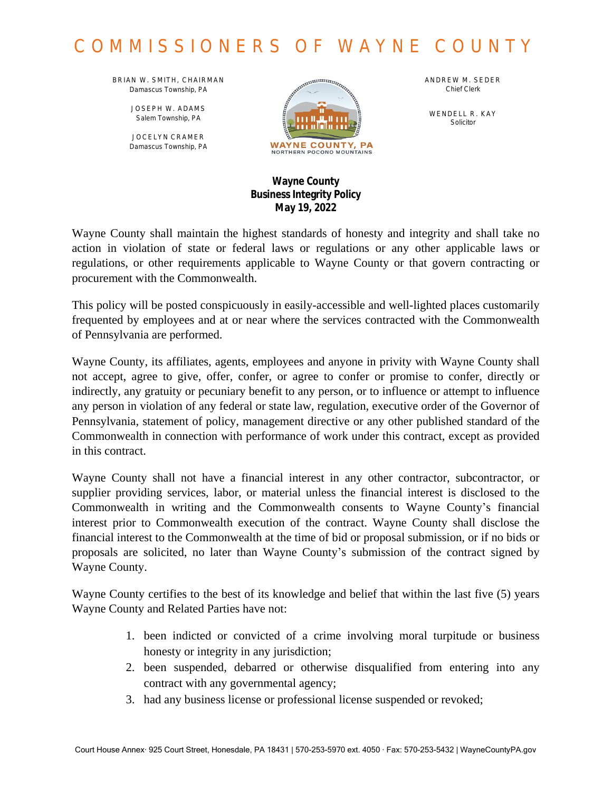# COMMISSIONERS OF WAYNE COUNTY

BRIAN W. SMITH, CHAIRMAN *Damascus Township, PA*

> JOSEPH W. ADAMS *Salem Township, PA*

JOCELYN CRAMER *Damascus Township, PA*



ANDREW M. SEDER *Chief Clerk*

WENDELL R. KAY *Solicitor*

#### **Wayne County Business Integrity Policy May 19, 2022**

Wayne County shall maintain the highest standards of honesty and integrity and shall take no action in violation of state or federal laws or regulations or any other applicable laws or regulations, or other requirements applicable to Wayne County or that govern contracting or procurement with the Commonwealth.

This policy will be posted conspicuously in easily-accessible and well-lighted places customarily frequented by employees and at or near where the services contracted with the Commonwealth of Pennsylvania are performed.

Wayne County, its affiliates, agents, employees and anyone in privity with Wayne County shall not accept, agree to give, offer, confer, or agree to confer or promise to confer, directly or indirectly, any gratuity or pecuniary benefit to any person, or to influence or attempt to influence any person in violation of any federal or state law, regulation, executive order of the Governor of Pennsylvania, statement of policy, management directive or any other published standard of the Commonwealth in connection with performance of work under this contract, except as provided in this contract.

Wayne County shall not have a financial interest in any other contractor, subcontractor, or supplier providing services, labor, or material unless the financial interest is disclosed to the Commonwealth in writing and the Commonwealth consents to Wayne County's financial interest prior to Commonwealth execution of the contract. Wayne County shall disclose the financial interest to the Commonwealth at the time of bid or proposal submission, or if no bids or proposals are solicited, no later than Wayne County's submission of the contract signed by Wayne County.

Wayne County certifies to the best of its knowledge and belief that within the last five (5) years Wayne County and Related Parties have not:

- 1. been indicted or convicted of a crime involving moral turpitude or business honesty or integrity in any jurisdiction;
- 2. been suspended, debarred or otherwise disqualified from entering into any contract with any governmental agency;
- 3. had any business license or professional license suspended or revoked;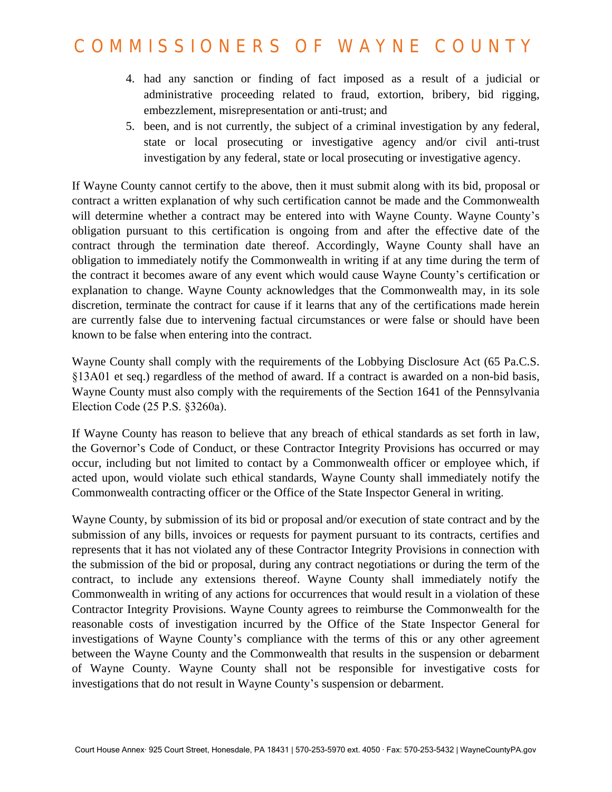## COMMISSIONERS OF WAYNE COUNTY

- 4. had any sanction or finding of fact imposed as a result of a judicial or administrative proceeding related to fraud, extortion, bribery, bid rigging, embezzlement, misrepresentation or anti-trust; and
- 5. been, and is not currently, the subject of a criminal investigation by any federal, state or local prosecuting or investigative agency and/or civil anti-trust investigation by any federal, state or local prosecuting or investigative agency.

If Wayne County cannot certify to the above, then it must submit along with its bid, proposal or contract a written explanation of why such certification cannot be made and the Commonwealth will determine whether a contract may be entered into with Wayne County. Wayne County's obligation pursuant to this certification is ongoing from and after the effective date of the contract through the termination date thereof. Accordingly, Wayne County shall have an obligation to immediately notify the Commonwealth in writing if at any time during the term of the contract it becomes aware of any event which would cause Wayne County's certification or explanation to change. Wayne County acknowledges that the Commonwealth may, in its sole discretion, terminate the contract for cause if it learns that any of the certifications made herein are currently false due to intervening factual circumstances or were false or should have been known to be false when entering into the contract.

Wayne County shall comply with the requirements of the Lobbying Disclosure Act (65 Pa.C.S. §13A01 et seq.) regardless of the method of award. If a contract is awarded on a non-bid basis, Wayne County must also comply with the requirements of the Section 1641 of the Pennsylvania Election Code (25 P.S. §3260a).

If Wayne County has reason to believe that any breach of ethical standards as set forth in law, the Governor's Code of Conduct, or these Contractor Integrity Provisions has occurred or may occur, including but not limited to contact by a Commonwealth officer or employee which, if acted upon, would violate such ethical standards, Wayne County shall immediately notify the Commonwealth contracting officer or the Office of the State Inspector General in writing.

Wayne County, by submission of its bid or proposal and/or execution of state contract and by the submission of any bills, invoices or requests for payment pursuant to its contracts, certifies and represents that it has not violated any of these Contractor Integrity Provisions in connection with the submission of the bid or proposal, during any contract negotiations or during the term of the contract, to include any extensions thereof. Wayne County shall immediately notify the Commonwealth in writing of any actions for occurrences that would result in a violation of these Contractor Integrity Provisions. Wayne County agrees to reimburse the Commonwealth for the reasonable costs of investigation incurred by the Office of the State Inspector General for investigations of Wayne County's compliance with the terms of this or any other agreement between the Wayne County and the Commonwealth that results in the suspension or debarment of Wayne County. Wayne County shall not be responsible for investigative costs for investigations that do not result in Wayne County's suspension or debarment.